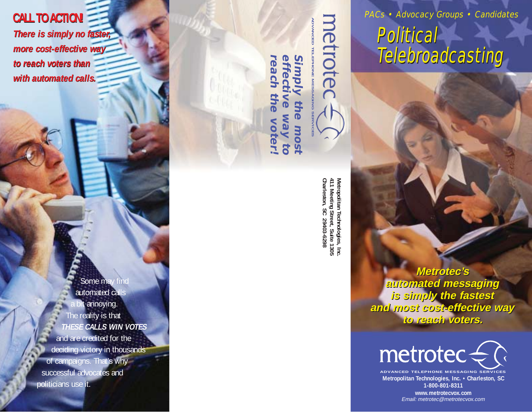**CALL TO ACTION! CALL TO ACTION! There is simply no faster, There is simply no faster, more cost-effective way more cost-effective way to reach voters than to reach voters than with automated calls. with automated calls.**

> Some may find automated calls bit annoying. The reality is that **THESE CALLS WIN VOTES** and are credited for the deciding victory in thousands of campaigns. That's why successful advocates and politicians use it.

**ADVANCED TELEPHONE MESSAGING SERVICES Simpl reach the voter! effective way to Simply the most** effective reach the the **Nay** voter! most 30

> Metropolitan Technologies, Inc.<br>411 Meeting Street, Suite 1305<br>Charleston, SC 29403-6298 **Charleston, SC 29403-6298 411 Meeting Street, Suite 1305 Metropolitan Technologies, Inc.**

metrotec

DVANCED

**Metrotec's Metrotec's automated messaging automated messaging is simply the fastest is simply the fastest and most cost-effective way and most cost-effective way to reach voters. to reach voters.**

PACs • Advocacy Groups • Candidates

Telebroadcasting Telebroadcasting

Political



**Metropolitan Technologies, Inc. • Charleston, SC 1-800-801-8311**

> **www.metrotecvox.com** Email: metrotec@metrotecvox.com